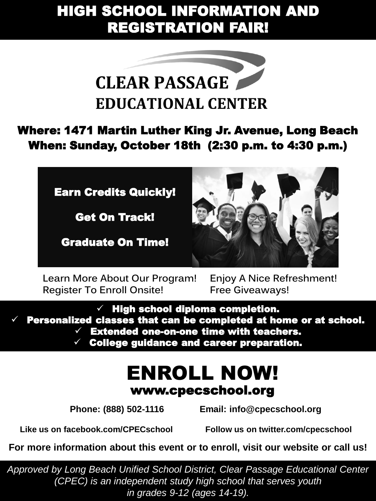## HIGH SCHOOL INFORMATION AND REGISTRATION FAIR!



Where: 1471 Martin Luther King Jr. Avenue, Long Beach When: Sunday, October 18th (2:30 p.m. to 4:30 p.m.)



Get On Track!

Graduate On Time!



**Learn More About Our Program! Register To Enroll Onsite!**

**Enjoy A Nice Refreshment! Free Giveaways!**

 $\checkmark$  High school diploma completion. Personalized classes that can be completed at home or at school.  $\checkmark$  Extended one-on-one time with teachers.

College guidance and career preparation.

## www.cpecschool.org ENROLL NOW!

 **Phone: (888) 502-1116 Email: info@cpecschool.org**

**Like us on facebook.com/CPECschool Follow us on twitter.com/cpecschool**

**For more information about this event or to enroll, visit our website or call us!**

*Approved by Long Beach Unified School District, Clear Passage Educational Center (CPEC) is an independent study high school that serves youth in grades 9-12 (ages 14-19).*